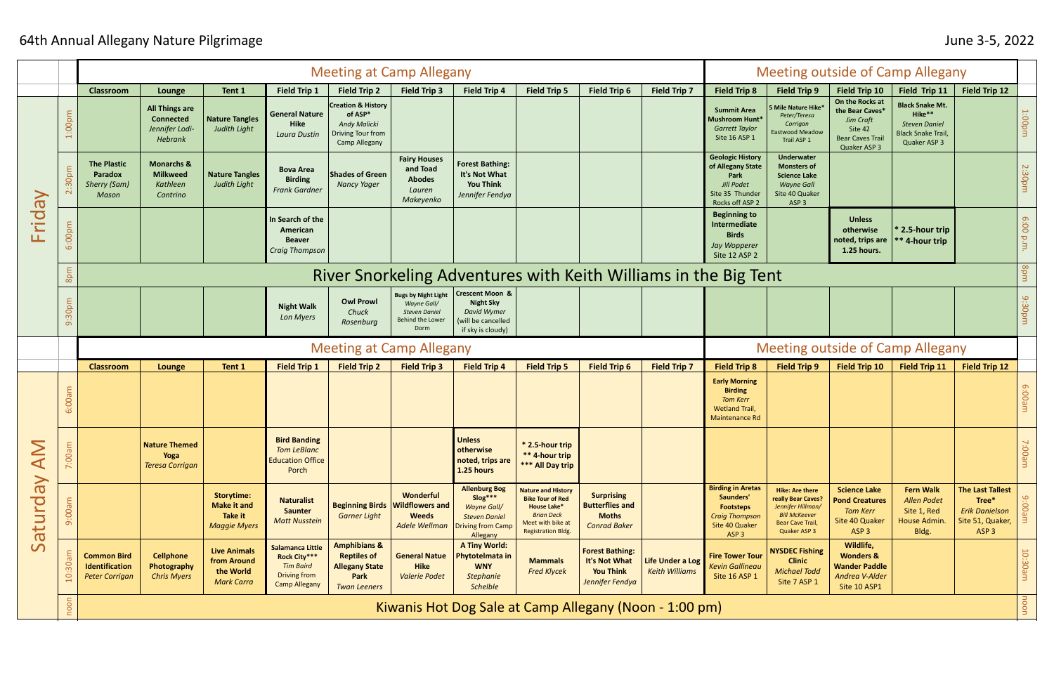## 64th Annual Allegany Nature Pilgrimage June 3-5, 2022

|                           |                    | <b>Meeting at Camp Allegany</b>                                      |                                                                        |                                                                           |                                                                                              |                                                                                                              |                                                                                                      |                                                                                                                |                                                                                                                                                   |                                                                                    |                                           | <b>Meeting outside of Camp Allegany</b>                                                                                  |                                                                                                                                      |                                                                                                              |                                                                                                      |                                                                                                   |                                  |
|---------------------------|--------------------|----------------------------------------------------------------------|------------------------------------------------------------------------|---------------------------------------------------------------------------|----------------------------------------------------------------------------------------------|--------------------------------------------------------------------------------------------------------------|------------------------------------------------------------------------------------------------------|----------------------------------------------------------------------------------------------------------------|---------------------------------------------------------------------------------------------------------------------------------------------------|------------------------------------------------------------------------------------|-------------------------------------------|--------------------------------------------------------------------------------------------------------------------------|--------------------------------------------------------------------------------------------------------------------------------------|--------------------------------------------------------------------------------------------------------------|------------------------------------------------------------------------------------------------------|---------------------------------------------------------------------------------------------------|----------------------------------|
|                           |                    | <b>Classroom</b>                                                     | Lounge                                                                 | Tent 1                                                                    | <b>Field Trip 1</b>                                                                          | <b>Field Trip 2</b>                                                                                          | <b>Field Trip 3</b>                                                                                  | <b>Field Trip 4</b>                                                                                            | <b>Field Trip 5</b>                                                                                                                               | <b>Field Trip 6</b>                                                                | Field Trip 7                              | <b>Field Trip 8</b>                                                                                                      | <b>Field Trip 9</b>                                                                                                                  | Field Trip 10                                                                                                | Field Trip 11                                                                                        | Field Trip 12                                                                                     |                                  |
| <b>Vepij</b><br>Ħ         | 1:00p <sub>l</sub> |                                                                      | <b>All Things are</b><br><b>Connected</b><br>Jennifer Lodi-<br>Hebrank | <b>Nature Tangles</b><br><b>Judith Light</b>                              | <b>General Nature</b><br><b>Hike</b><br>Laura Dustin                                         | <b>Creation &amp; History</b><br>of ASP*<br><b>Andy Malicki</b><br>Driving Tour from<br><b>Camp Allegany</b> |                                                                                                      |                                                                                                                |                                                                                                                                                   |                                                                                    |                                           | <b>Summit Area</b><br>Mushroom Hunt*<br><b>Garrett Taylor</b><br>Site 16 ASP 1                                           | $5$ Mile Nature Hike $^*$<br>Peter/Teresa<br>Corrigan<br>Eastwood Meadow<br>Trail ASP 1                                              | On the Rocks at<br>the Bear Caves*<br><b>Jim Craft</b><br>Site 42<br><b>Bear Caves Trail</b><br>Quaker ASP 3 | <b>Black Snake Mt.</b><br>Hike**<br><b>Steven Daniel</b><br><b>Black Snake Trail</b><br>Quaker ASP 3 |                                                                                                   | uudoo:                           |
|                           | :30pm              | <b>The Plastic</b><br>Paradox<br><b>Sherry (Sam)</b><br><b>Mason</b> | <b>Monarchs &amp;</b><br><b>Milkweed</b><br>Kathleen<br>Contrino       | <b>Nature Tangles</b><br><b>Judith Light</b>                              | <b>Bova Area</b><br><b>Birding</b><br><b>Frank Gardner</b>                                   | <b>Shades of Green</b><br><b>Nancy Yager</b>                                                                 | <b>Fairy Houses</b><br>and Toad<br><b>Abodes</b><br>Lauren<br>Makeyenko                              | <b>Forest Bathing:</b><br>It's Not What<br><b>You Think</b><br>Jennifer Fendya                                 |                                                                                                                                                   |                                                                                    |                                           | <b>Geologic History</b><br>of Allegany State<br>Park<br><b>Jill Podet</b><br>Site 35 Thunder<br>Rocks off ASP 2          | <b>Underwater</b><br><b>Monsters of</b><br><b>Science Lake</b><br><b>Wayne Gall</b><br>Site 40 Quaker<br>ASP <sub>3</sub>            |                                                                                                              |                                                                                                      |                                                                                                   | 2:30pm                           |
|                           | 6:00pm             |                                                                      |                                                                        |                                                                           | In Search of the<br>American<br><b>Beaver</b><br><b>Craig Thompson</b>                       |                                                                                                              |                                                                                                      |                                                                                                                |                                                                                                                                                   |                                                                                    |                                           | <b>Beginning to</b><br>Intermediate<br><b>Birds</b><br>Jay Wopperer<br>Site 12 ASP 2                                     |                                                                                                                                      | <b>Unless</b><br>otherwise<br>noted, trips are<br>1.25 hours.                                                | * 2.5-hour trip<br>** 4-hour trip                                                                    |                                                                                                   | 00:9<br>$\overline{\sigma}$<br>È |
|                           | 8pm                | River Snorkeling Adventures with Keith Williams in the Big Tent      |                                                                        |                                                                           |                                                                                              |                                                                                                              |                                                                                                      |                                                                                                                |                                                                                                                                                   |                                                                                    |                                           |                                                                                                                          |                                                                                                                                      |                                                                                                              |                                                                                                      | 8pm                                                                                               |                                  |
|                           | 9:30pm             |                                                                      |                                                                        |                                                                           | <b>Night Walk</b><br>Lon Myers                                                               | <b>Owl Prowl</b><br>Chuck<br>Rosenburg                                                                       | <b>Bugs by Night Light</b><br>Wayne Gall/<br><b>Steven Daniel</b><br><b>Behind the Lower</b><br>Dorm | <b>Crescent Moon &amp;</b><br><b>Night Sky</b><br><b>David Wymer</b><br>will be cancelled<br>if sky is cloudy) |                                                                                                                                                   |                                                                                    |                                           |                                                                                                                          |                                                                                                                                      |                                                                                                              |                                                                                                      |                                                                                                   | 9:30pm                           |
|                           |                    | <b>Meeting at Camp Allegany</b>                                      |                                                                        |                                                                           |                                                                                              |                                                                                                              |                                                                                                      |                                                                                                                |                                                                                                                                                   |                                                                                    |                                           | <b>Meeting outside of Camp Allegany</b>                                                                                  |                                                                                                                                      |                                                                                                              |                                                                                                      |                                                                                                   |                                  |
|                           |                    |                                                                      |                                                                        |                                                                           |                                                                                              |                                                                                                              |                                                                                                      |                                                                                                                |                                                                                                                                                   |                                                                                    |                                           |                                                                                                                          |                                                                                                                                      |                                                                                                              |                                                                                                      |                                                                                                   |                                  |
|                           |                    | <b>Classroom</b>                                                     | Lounge                                                                 | Tent 1                                                                    | <b>Field Trip 1</b>                                                                          | <b>Field Trip 2</b>                                                                                          | <b>Field Trip 3</b>                                                                                  | <b>Field Trip 4</b>                                                                                            | <b>Field Trip 5</b>                                                                                                                               | <b>Field Trip 6</b>                                                                | <b>Field Trip 7</b>                       | <b>Field Trip 8</b>                                                                                                      | <b>Field Trip 9</b>                                                                                                                  | <b>Field Trip 10</b>                                                                                         | <b>Field Trip 11</b>                                                                                 | <b>Field Trip 12</b>                                                                              |                                  |
|                           | 6:00a              |                                                                      |                                                                        |                                                                           |                                                                                              |                                                                                                              |                                                                                                      |                                                                                                                |                                                                                                                                                   |                                                                                    |                                           | <b>Early Morning</b><br><b>Birding</b><br><b>Tom Kerr</b><br><b>Wetland Trail,</b><br><b>Maintenance Rd</b>              |                                                                                                                                      |                                                                                                              |                                                                                                      |                                                                                                   | e:00a                            |
| $\widetilde{\mathcal{A}}$ | 7:00an             |                                                                      | <b>Nature Themed</b><br>Yoga<br><b>Teresa Corrigan</b>                 |                                                                           | <b>Bird Banding</b><br><b>Tom LeBlanc</b><br><b>Education Office</b><br>Porch                |                                                                                                              |                                                                                                      | <b>Unless</b><br>otherwise<br>noted, trips are<br>1.25 hours                                                   | * 2.5-hour trip<br>** 4-hour trip<br>*** All Day trip                                                                                             |                                                                                    |                                           |                                                                                                                          |                                                                                                                                      |                                                                                                              |                                                                                                      |                                                                                                   | uue00                            |
| Ve                        | 100am<br>$\sigma$  |                                                                      |                                                                        | <b>Storytime:</b><br><b>Make it and</b><br>Take it<br><b>Maggie Myers</b> | <b>Naturalist</b><br><b>Saunter</b><br><b>Matt Nusstein</b>                                  | <b>Beginning Birds</b><br><b>Garner Light</b>                                                                | Wonderful<br><b>Wildflowers and</b><br><b>Weeds</b><br>Adele Wellman                                 | <b>Allenburg Bog</b><br>Slog***<br><b>Wayne Gall/</b><br><b>Steven Daniel</b><br>Driving from Camp<br>Allegany | <b>Nature and History</b><br><b>Bike Tour of Red</b><br><b>House Lake*</b><br><b>Brian Deck</b><br>Meet with bike at<br><b>Registration Bldg.</b> | <b>Surprising</b><br><b>Butterflies and</b><br><b>Moths</b><br><b>Conrad Baker</b> |                                           | <b>Birding in Aretas</b><br>Saunders'<br><b>Footsteps</b><br><b>Craig Thompson</b><br>Site 40 Quaker<br>ASP <sub>3</sub> | <b>Hike: Are there</b><br>really Bear Caves?<br>Jennifer Hillman/<br><b>Bill McKeever</b><br><b>Bear Cave Trail,</b><br>Quaker ASP 3 | <b>Science Lake</b><br><b>Pond Creatures</b><br><b>Tom Kerr</b><br>Site 40 Quaker<br>ASP <sub>3</sub>        | <b>Fern Walk</b><br><b>Allen Podet</b><br>Site 1, Red<br>House Admin.<br>Bldg.                       | <b>The Last Tallest</b><br>Tree*<br><b>Erik Danielson</b><br>Site 51, Quaker,<br>ASP <sub>3</sub> |                                  |
| Saturd                    | $\overline{Q}$     | <b>Common Bird</b><br><b>Identification</b><br><b>Peter Corrigan</b> | <b>Cellphone</b><br>Photography<br><b>Chris Myers</b>                  | <b>Live Animals</b><br>from Around<br>the World<br><b>Mark Carra</b>      | Salamanca Little<br>Rock City***<br><b>Tim Baird</b><br>Driving from<br><b>Camp Allegany</b> | <b>Amphibians &amp;</b><br><b>Reptiles of</b><br><b>Allegany State</b><br>Park<br><b>Twan Leeners</b>        | <b>General Natue</b><br>Hike<br><b>Valerie Podet</b>                                                 | <b>A Tiny World:</b><br>hytotelmata in<br><b>WNY</b><br><b>Stephanie</b><br><b>Schelble</b>                    | <b>Mammals</b><br><b>Fred Klycek</b>                                                                                                              | <b>Forest Bathing:</b><br>It's Not What<br><b>You Think</b><br>Jennifer Fendya     | Life Under a Log<br><b>Keith Williams</b> | <b>Fire Tower Tour</b><br><b>Kevin Gallineau</b><br>Site 16 ASP 1                                                        | <b>NYSDEC Fishing</b><br><b>Clinic</b><br><b>Michael Todd</b><br>Site 7 ASP 1                                                        | Wildlife,<br><b>Wonders &amp;</b><br><b>Wander Paddle</b><br>Andrea V-Alder<br>Site 10 ASP1                  |                                                                                                      |                                                                                                   | $10$ :<br>me08:<br>noon          |